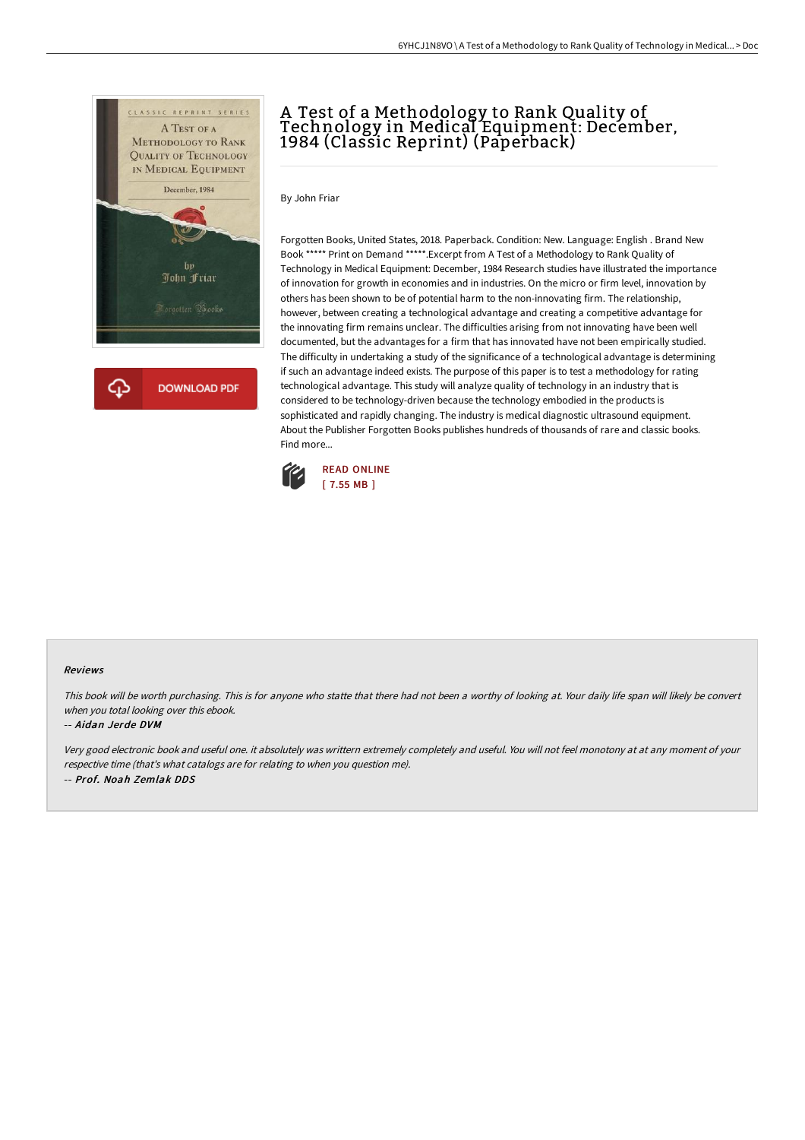

# A Test of a Methodology to Rank Quality of Technology in Medical Equipment: December, 1984 (Classic Reprint) (Paperback)

By John Friar

Forgotten Books, United States, 2018. Paperback. Condition: New. Language: English . Brand New Book \*\*\*\*\* Print on Demand \*\*\*\*\*.Excerpt from A Test of a Methodology to Rank Quality of Technology in Medical Equipment: December, 1984 Research studies have illustrated the importance of innovation for growth in economies and in industries. On the micro or firm level, innovation by others has been shown to be of potential harm to the non-innovating firm. The relationship, however, between creating a technological advantage and creating a competitive advantage for the innovating firm remains unclear. The difficulties arising from not innovating have been well documented, but the advantages for a firm that has innovated have not been empirically studied. The difficulty in undertaking a study of the significance of a technological advantage is determining if such an advantage indeed exists. The purpose of this paper is to test a methodology for rating technological advantage. This study will analyze quality of technology in an industry that is considered to be technology-driven because the technology embodied in the products is sophisticated and rapidly changing. The industry is medical diagnostic ultrasound equipment. About the Publisher Forgotten Books publishes hundreds of thousands of rare and classic books. Find more...



#### Reviews

This book will be worth purchasing. This is for anyone who statte that there had not been <sup>a</sup> worthy of looking at. Your daily life span will likely be convert when you total looking over this ebook.

#### -- Aidan Jerde DVM

Very good electronic book and useful one. it absolutely was writtern extremely completely and useful. You will not feel monotony at at any moment of your respective time (that's what catalogs are for relating to when you question me). -- Prof. Noah Zemlak DDS